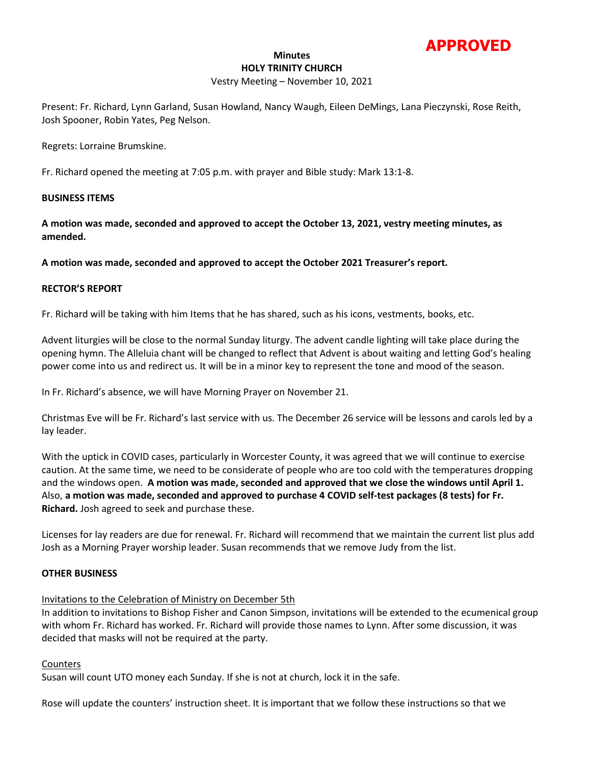

#### **Minutes HOLY TRINITY CHURCH**

### Vestry Meeting – November 10, 2021

Present: Fr. Richard, Lynn Garland, Susan Howland, Nancy Waugh, Eileen DeMings, Lana Pieczynski, Rose Reith, Josh Spooner, Robin Yates, Peg Nelson.

Regrets: Lorraine Brumskine.

Fr. Richard opened the meeting at 7:05 p.m. with prayer and Bible study: Mark 13:1-8.

### **BUSINESS ITEMS**

**A motion was made, seconded and approved to accept the October 13, 2021, vestry meeting minutes, as amended.**

**A motion was made, seconded and approved to accept the October 2021 Treasurer's report.**

### **RECTOR'S REPORT**

Fr. Richard will be taking with him Items that he has shared, such as his icons, vestments, books, etc.

Advent liturgies will be close to the normal Sunday liturgy. The advent candle lighting will take place during the opening hymn. The Alleluia chant will be changed to reflect that Advent is about waiting and letting God's healing power come into us and redirect us. It will be in a minor key to represent the tone and mood of the season.

In Fr. Richard's absence, we will have Morning Prayer on November 21.

Christmas Eve will be Fr. Richard's last service with us. The December 26 service will be lessons and carols led by a lay leader.

With the uptick in COVID cases, particularly in Worcester County, it was agreed that we will continue to exercise caution. At the same time, we need to be considerate of people who are too cold with the temperatures dropping and the windows open. **A motion was made, seconded and approved that we close the windows until April 1.**  Also, **a motion was made, seconded and approved to purchase 4 COVID self-test packages (8 tests) for Fr. Richard.** Josh agreed to seek and purchase these.

Licenses for lay readers are due for renewal. Fr. Richard will recommend that we maintain the current list plus add Josh as a Morning Prayer worship leader. Susan recommends that we remove Judy from the list.

#### **OTHER BUSINESS**

# Invitations to the Celebration of Ministry on December 5th

In addition to invitations to Bishop Fisher and Canon Simpson, invitations will be extended to the ecumenical group with whom Fr. Richard has worked. Fr. Richard will provide those names to Lynn. After some discussion, it was decided that masks will not be required at the party.

### **Counters**

Susan will count UTO money each Sunday. If she is not at church, lock it in the safe.

Rose will update the counters' instruction sheet. It is important that we follow these instructions so that we